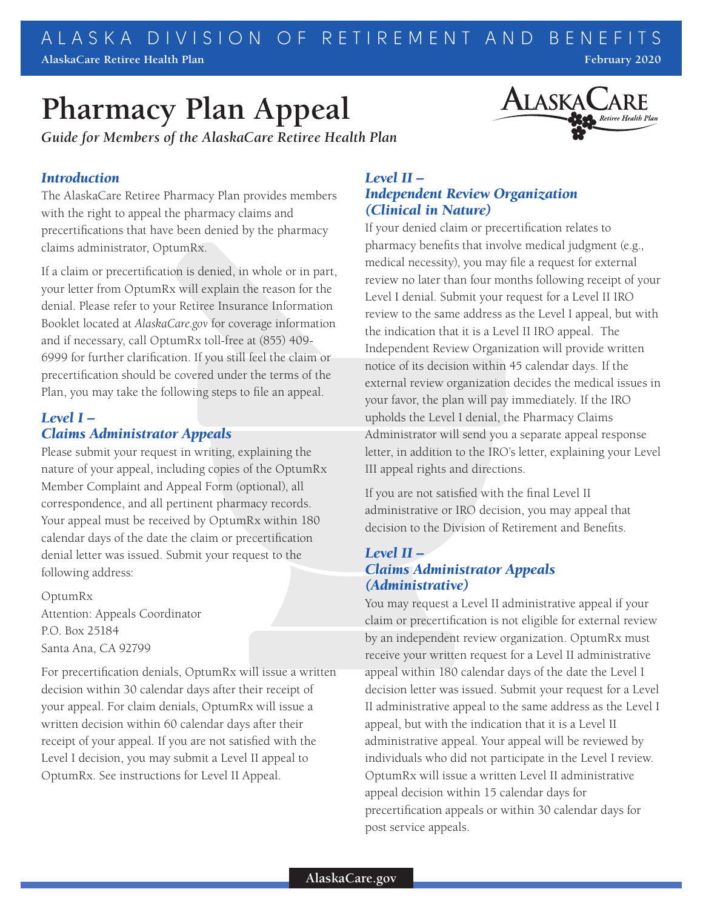# **Pharmacy Plan Appeal**

*Guide for Members of the AlaskaCare Retiree Health Plan*



### *Introduction*

The AlaskaCare Retiree Pharmacy Plan provides members with the right to appeal the pharmacy claims and precertifications that have been denied by the pharmacy claims administrator, OptumRx.

If a claim or precertification is denied, in whole or in part, your letter from OptumRx will explain the reason for the denial. Please refer to your Retiree Insurance Information Booklet located at *AlaskaCare.gov* for coverage information and if necessary, call OptumRx toll-free at (855) 409- 6999 for further clarification. If you still feel the claim or precertification should be covered under the terms of the Plan, you may take the following steps to file an appeal.

## *Level I – Claims Administrator Appeals*

Please submit your request in writing, explaining the nature of your appeal, including copies of the OptumRx Member Complaint and Appeal Form (optional), all correspondence, and all pertinent pharmacy records. Your appeal must be received by OptumRx within 180 calendar days of the date the claim or precertification denial letter was issued. Submit your request to the following address:

OptumRx Attention: Appeals Coordinator P.O. Box 25184 Santa Ana, CA 92799

For precertification denials, OptumRx will issue a written decision within 30 calendar days after their receipt of your appeal. For claim denials, OptumRx will issue a written decision within 60 calendar days after their receipt of your appeal. If you are not satisfied with the Level I decision, you may submit a Level II appeal to OptumRx. See instructions for Level II Appeal.

## *Level II – Independent Review Organization (Clinical in Nature)*

If your denied claim or precertification relates to pharmacy benefits that involve medical judgment (e.g., medical necessity), you may file a request for external review no later than four months following receipt of your Level I denial. Submit your request for a Level II IRO review to the same address as the Level I appeal, but with the indication that it is a Level II IRO appeal. The Independent Review Organization will provide written notice of its decision within 45 calendar days. If the external review organization decides the medical issues in your favor, the plan will pay immediately. If the IRO upholds the Level I denial, the Pharmacy Claims Administrator will send you a separate appeal response letter, in addition to the IRO's letter, explaining your Level III appeal rights and directions.

If you are not satisfied with the final Level II administrative or IRO decision, you may appeal that decision to the Division of Retirement and Benefits.

#### *Level II – Claims Administrator Appeals (Administrative)*

You may request a Level II administrative appeal if your claim or precertification is not eligible for external review by an independent review organization. OptumRx must receive your written request for a Level II administrative appeal within 180 calendar days of the date the Level I decision letter was issued. Submit your request for a Level II administrative appeal to the same address as the Level I appeal, but with the indication that it is a Level II administrative appeal. Your appeal will be reviewed by individuals who did not participate in the Level I review. OptumRx will issue a written Level II administrative appeal decision within 15 calendar days for precertification appeals or within 30 calendar days for post service appeals.